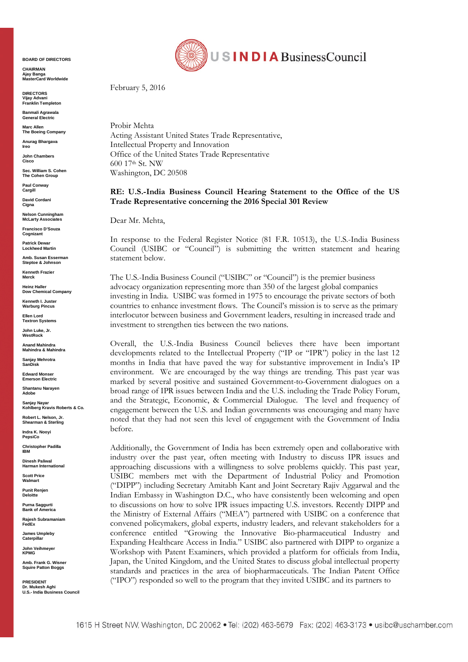**BOARD OF DIRECTORS**

**CHAIRMAN Ajay Banga MasterCard Worldwide**

**DIRECTORS Vijay Advani Franklin Templeton**

**Banmali Agrawala General Electric**

**Marc Allen The Boeing Company**

**Anurag Bhargava Ireo**

**John Chambers Cisco**

**Sec. William S. Cohen The Cohen Group**

**Paul Conway Cargill**

**David Cordani Cigna**

**Nelson Cunningham McLarty Associates**

**Francisco D'Souza Cognizant**

**Patrick Dewar Lockheed Martin**

**Amb. Susan Esserman Steptoe & Johnson**

**Kenneth Frazier Merck**

**Heinz Haller Dow Chemical Company**

**Kenneth I. Juster Warburg Pincus**

**Ellen Lord Textron Systems**

**John Luke, Jr. WestRock**

**Anand Mahindra Mahindra & Mahindra**

**Sanjay Mehrotra SanDisk**

**Edward Monser Emerson Electric**

**Shantanu Narayen Adobe**

**Sanjay Nayar Kohlberg Kravis Roberts & Co.**

**Robert L. Nelson, Jr. Shearman & Sterling**

**Indra K. Nooyi PepsiCo**

**Christopher Padilla IBM**

**Dinesh Paliwal Harman International**

**Scott Price Walmart**

**Punit Renjen Deloitte**

**Purna Saggurti Bank of America**

**Rajesh Subramaniam FedEx**

**James Umpleby Caterpilla** 

**John Veihmeyer KPMG**

Amb. Frank G. Wisner **Squire Patton Boggs**

**PRESIDENT Dr. Mukesh Aghi U.S.- India Business Council**



February 5, 2016

Probir Mehta Acting Assistant United States Trade Representative, Intellectual Property and Innovation Office of the United States Trade Representative 600 17th St. NW Washington, DC 20508

**RE: U.S.-India Business Council Hearing Statement to the Office of the US Trade Representative concerning the 2016 Special 301 Review**

Dear Mr. Mehta,

In response to the Federal Register Notice (81 F.R. 10513), the U.S.-India Business Council (USIBC or "Council") is submitting the written statement and hearing statement below.

The U.S.-India Business Council ("USIBC" or "Council") is the premier business advocacy organization representing more than 350 of the largest global companies investing in India. USIBC was formed in 1975 to encourage the private sectors of both countries to enhance investment flows. The Council's mission is to serve as the primary interlocutor between business and Government leaders, resulting in increased trade and investment to strengthen ties between the two nations.

Overall, the U.S.-India Business Council believes there have been important developments related to the Intellectual Property ("IP or "IPR") policy in the last 12 months in India that have paved the way for substantive improvement in India's IP environment. We are encouraged by the way things are trending. This past year was marked by several positive and sustained Government-to-Government dialogues on a broad range of IPR issues between India and the U.S. including the Trade Policy Forum, and the Strategic, Economic, & Commercial Dialogue. The level and frequency of engagement between the U.S. and Indian governments was encouraging and many have noted that they had not seen this level of engagement with the Government of India before.

Additionally, the Government of India has been extremely open and collaborative with industry over the past year, often meeting with Industry to discuss IPR issues and approaching discussions with a willingness to solve problems quickly. This past year, USIBC members met with the Department of Industrial Policy and Promotion ("DIPP") including Secretary Amitabh Kant and Joint Secretary Rajiv Aggarwal and the Indian Embassy in Washington D.C., who have consistently been welcoming and open to discussions on how to solve IPR issues impacting U.S. investors. Recently DIPP and the Ministry of External Affairs ("MEA") partnered with USIBC on a conference that convened policymakers, global experts, industry leaders, and relevant stakeholders for a conference entitled "Growing the Innovative Bio-pharmaceutical Industry and Expanding Healthcare Access in India." USIBC also partnered with DIPP to organize a Workshop with Patent Examiners, which provided a platform for officials from India, Japan, the United Kingdom, and the United States to discuss global intellectual property standards and practices in the area of biopharmaceuticals. The Indian Patent Office ("IPO") responded so well to the program that they invited USIBC and its partners to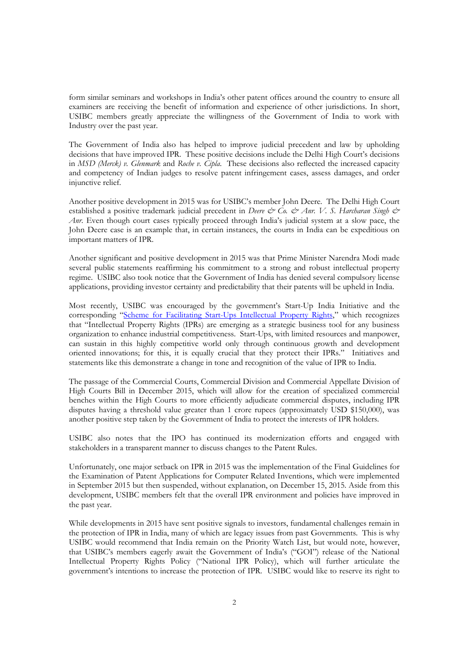form similar seminars and workshops in India's other patent offices around the country to ensure all examiners are receiving the benefit of information and experience of other jurisdictions. In short, USIBC members greatly appreciate the willingness of the Government of India to work with Industry over the past year.

The Government of India also has helped to improve judicial precedent and law by upholding decisions that have improved IPR. These positive decisions include the Delhi High Court's decisions in *MSD (Merck) v. Glenmark* and *Roche v. Cipla*. These decisions also reflected the increased capacity and competency of Indian judges to resolve patent infringement cases, assess damages, and order injunctive relief.

Another positive development in 2015 was for USIBC's member John Deere. The Delhi High Court established a positive trademark judicial precedent in *Deere & Co. & Anr. V. S. Harcharan Singh & Anr.* Even though court cases typically proceed through India's judicial system at a slow pace, the John Deere case is an example that, in certain instances, the courts in India can be expeditious on important matters of IPR.

Another significant and positive development in 2015 was that Prime Minister Narendra Modi made several public statements reaffirming his commitment to a strong and robust intellectual property regime. USIBC also took notice that the Government of India has denied several compulsory license applications, providing investor certainty and predictability that their patents will be upheld in India.

Most recently, USIBC was encouraged by the government's Start-Up India Initiative and the corresponding "Scheme for Facilitating Start-Ups Intellectual Property Rights," which recognizes that "Intellectual Property Rights (IPRs) are emerging as a strategic business tool for any business organization to enhance industrial competitiveness. Start-Ups, with limited resources and manpower, can sustain in this highly competitive world only through continuous growth and development oriented innovations; for this, it is equally crucial that they protect their IPRs." Initiatives and statements like this demonstrate a change in tone and recognition of the value of IPR to India.

The passage of the Commercial Courts, Commercial Division and Commercial Appellate Division of High Courts Bill in December 2015, which will allow for the creation of specialized commercial benches within the High Courts to more efficiently adjudicate commercial disputes, including IPR disputes having a threshold value greater than 1 crore rupees (approximately USD \$150,000), was another positive step taken by the Government of India to protect the interests of IPR holders.

USIBC also notes that the IPO has continued its modernization efforts and engaged with stakeholders in a transparent manner to discuss changes to the Patent Rules.

Unfortunately, one major setback on IPR in 2015 was the implementation of the Final Guidelines for the Examination of Patent Applications for Computer Related Inventions, which were implemented in September 2015 but then suspended, without explanation, on December 15, 2015. Aside from this development, USIBC members felt that the overall IPR environment and policies have improved in the past year.

While developments in 2015 have sent positive signals to investors, fundamental challenges remain in the protection of IPR in India, many of which are legacy issues from past Governments. This is why USIBC would recommend that India remain on the Priority Watch List, but would note, however, that USIBC's members eagerly await the Government of India's ("GOI") release of the National Intellectual Property Rights Policy ("National IPR Policy), which will further articulate the government's intentions to increase the protection of IPR. USIBC would like to reserve its right to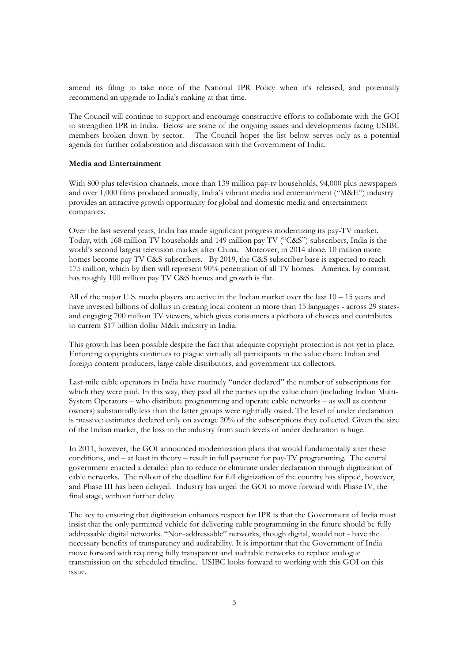amend its filing to take note of the National IPR Policy when it's released, and potentially recommend an upgrade to India's ranking at that time.

The Council will continue to support and encourage constructive efforts to collaborate with the GOI to strengthen IPR in India. Below are some of the ongoing issues and developments facing USIBC members broken down by sector. The Council hopes the list below serves only as a potential agenda for further collaboration and discussion with the Government of India.

# **Media and Entertainment**

With 800 plus television channels, more than 139 million pay-tv households, 94,000 plus newspapers and over 1,000 films produced annually, India's vibrant media and entertainment ("M&E") industry provides an attractive growth opportunity for global and domestic media and entertainment companies.

Over the last several years, India has made significant progress modernizing its pay-TV market. Today, with 168 million TV households and 149 million pay TV ("C&S") subscribers, India is the world's second largest television market after China. Moreover, in 2014 alone, 10 million more homes become pay TV C&S subscribers. By 2019, the C&S subscriber base is expected to reach 175 million, which by then will represent 90% penetration of all TV homes. America, by contrast, has roughly 100 million pay TV C&S homes and growth is flat.

All of the major U.S. media players are active in the Indian market over the last  $10 - 15$  years and have invested billions of dollars in creating local content in more than 15 languages - across 29 statesand engaging 700 million TV viewers, which gives consumers a plethora of choices and contributes to current \$17 billion dollar M&E industry in India.

This growth has been possible despite the fact that adequate copyright protection is not yet in place. Enforcing copyrights continues to plague virtually all participants in the value chain: Indian and foreign content producers, large cable distributors, and government tax collectors.

Last-mile cable operators in India have routinely "under declared" the number of subscriptions for which they were paid. In this way, they paid all the parties up the value chain (including Indian Multi-System Operators – who distribute programming and operate cable networks – as well as content owners) substantially less than the latter groups were rightfully owed. The level of under declaration is massive: estimates declared only on average 20% of the subscriptions they collected. Given the size of the Indian market, the loss to the industry from such levels of under declaration is huge.

In 2011, however, the GOI announced modernization plans that would fundamentally alter these conditions, and – at least in theory – result in full payment for pay-TV programming. The central government enacted a detailed plan to reduce or eliminate under declaration through digitization of cable networks. The rollout of the deadline for full digitization of the country has slipped, however, and Phase III has been delayed. Industry has urged the GOI to move forward with Phase IV, the final stage, without further delay.

The key to ensuring that digitization enhances respect for IPR is that the Government of India must insist that the only permitted vehicle for delivering cable programming in the future should be fully addressable digital networks. "Non-addressable" networks, though digital, would not - have the necessary benefits of transparency and auditability. It is important that the Government of India move forward with requiring fully transparent and auditable networks to replace analogue transmission on the scheduled timeline. USIBC looks forward to working with this GOI on this issue.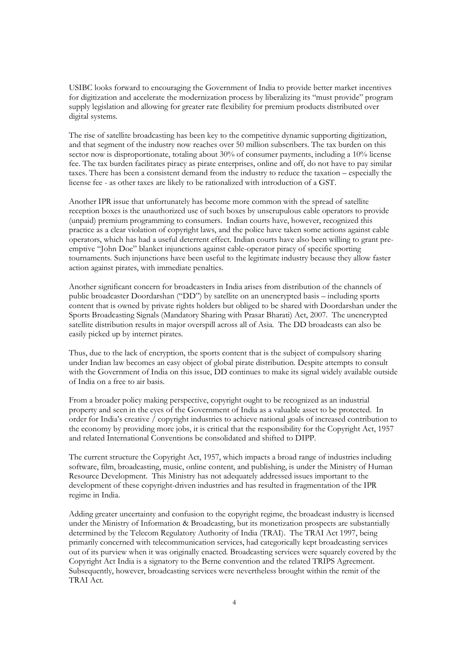USIBC looks forward to encouraging the Government of India to provide better market incentives for digitization and accelerate the modernization process by liberalizing its "must provide" program supply legislation and allowing for greater rate flexibility for premium products distributed over digital systems.

The rise of satellite broadcasting has been key to the competitive dynamic supporting digitization, and that segment of the industry now reaches over 50 million subscribers. The tax burden on this sector now is disproportionate, totaling about 30% of consumer payments, including a 10% license fee. The tax burden facilitates piracy as pirate enterprises, online and off, do not have to pay similar taxes. There has been a consistent demand from the industry to reduce the taxation – especially the license fee - as other taxes are likely to be rationalized with introduction of a GST.

Another IPR issue that unfortunately has become more common with the spread of satellite reception boxes is the unauthorized use of such boxes by unscrupulous cable operators to provide (unpaid) premium programming to consumers. Indian courts have, however, recognized this practice as a clear violation of copyright laws, and the police have taken some actions against cable operators, which has had a useful deterrent effect. Indian courts have also been willing to grant preemptive "John Doe" blanket injunctions against cable-operator piracy of specific sporting tournaments. Such injunctions have been useful to the legitimate industry because they allow faster action against pirates, with immediate penalties.

Another significant concern for broadcasters in India arises from distribution of the channels of public broadcaster Doordarshan ("DD") by satellite on an unencrypted basis – including sports content that is owned by private rights holders but obliged to be shared with Doordarshan under the Sports Broadcasting Signals (Mandatory Sharing with Prasar Bharati) Act, 2007. The unencrypted satellite distribution results in major overspill across all of Asia. The DD broadcasts can also be easily picked up by internet pirates.

Thus, due to the lack of encryption, the sports content that is the subject of compulsory sharing under Indian law becomes an easy object of global pirate distribution. Despite attempts to consult with the Government of India on this issue, DD continues to make its signal widely available outside of India on a free to air basis.

From a broader policy making perspective, copyright ought to be recognized as an industrial property and seen in the eyes of the Government of India as a valuable asset to be protected. In order for India's creative / copyright industries to achieve national goals of increased contribution to the economy by providing more jobs, it is critical that the responsibility for the Copyright Act, 1957 and related International Conventions be consolidated and shifted to DIPP.

The current structure the Copyright Act, 1957, which impacts a broad range of industries including software, film, broadcasting, music, online content, and publishing, is under the Ministry of Human Resource Development. This Ministry has not adequately addressed issues important to the development of these copyright-driven industries and has resulted in fragmentation of the IPR regime in India.

Adding greater uncertainty and confusion to the copyright regime, the broadcast industry is licensed under the Ministry of Information & Broadcasting, but its monetization prospects are substantially determined by the Telecom Regulatory Authority of India (TRAI). The TRAI Act 1997, being primarily concerned with telecommunication services, had categorically kept broadcasting services out of its purview when it was originally enacted. Broadcasting services were squarely covered by the Copyright Act India is a signatory to the Berne convention and the related TRIPS Agreement. Subsequently, however, broadcasting services were nevertheless brought within the remit of the TRAI Act.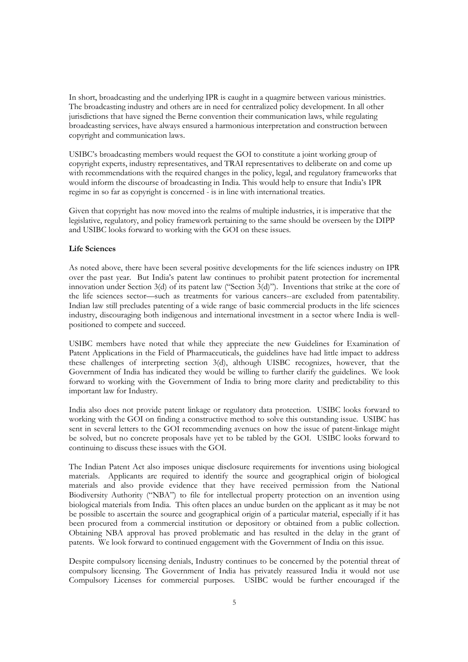In short, broadcasting and the underlying IPR is caught in a quagmire between various ministries. The broadcasting industry and others are in need for centralized policy development. In all other jurisdictions that have signed the Berne convention their communication laws, while regulating broadcasting services, have always ensured a harmonious interpretation and construction between copyright and communication laws.

USIBC's broadcasting members would request the GOI to constitute a joint working group of copyright experts, industry representatives, and TRAI representatives to deliberate on and come up with recommendations with the required changes in the policy, legal, and regulatory frameworks that would inform the discourse of broadcasting in India. This would help to ensure that India's IPR regime in so far as copyright is concerned - is in line with international treaties.

Given that copyright has now moved into the realms of multiple industries, it is imperative that the legislative, regulatory, and policy framework pertaining to the same should be overseen by the DIPP and USIBC looks forward to working with the GOI on these issues.

# **Life Sciences**

As noted above, there have been several positive developments for the life sciences industry on IPR over the past year. But India's patent law continues to prohibit patent protection for incremental innovation under Section 3(d) of its patent law ("Section  $3(d)$ "). Inventions that strike at the core of the life sciences sector—such as treatments for various cancers--are excluded from patentability. Indian law still precludes patenting of a wide range of basic commercial products in the life sciences industry, discouraging both indigenous and international investment in a sector where India is wellpositioned to compete and succeed.

USIBC members have noted that while they appreciate the new Guidelines for Examination of Patent Applications in the Field of Pharmaceuticals, the guidelines have had little impact to address these challenges of interpreting section 3(d), although UISBC recognizes, however, that the Government of India has indicated they would be willing to further clarify the guidelines. We look forward to working with the Government of India to bring more clarity and predictability to this important law for Industry.

India also does not provide patent linkage or regulatory data protection. USIBC looks forward to working with the GOI on finding a constructive method to solve this outstanding issue. USIBC has sent in several letters to the GOI recommending avenues on how the issue of patent-linkage might be solved, but no concrete proposals have yet to be tabled by the GOI. USIBC looks forward to continuing to discuss these issues with the GOI.

The Indian Patent Act also imposes unique disclosure requirements for inventions using biological materials. Applicants are required to identify the source and geographical origin of biological materials and also provide evidence that they have received permission from the National Biodiversity Authority ("NBA") to file for intellectual property protection on an invention using biological materials from India. This often places an undue burden on the applicant as it may be not be possible to ascertain the source and geographical origin of a particular material, especially if it has been procured from a commercial institution or depository or obtained from a public collection. Obtaining NBA approval has proved problematic and has resulted in the delay in the grant of patents. We look forward to continued engagement with the Government of India on this issue.

Despite compulsory licensing denials, Industry continues to be concerned by the potential threat of compulsory licensing. The Government of India has privately reassured India it would not use Compulsory Licenses for commercial purposes. USIBC would be further encouraged if the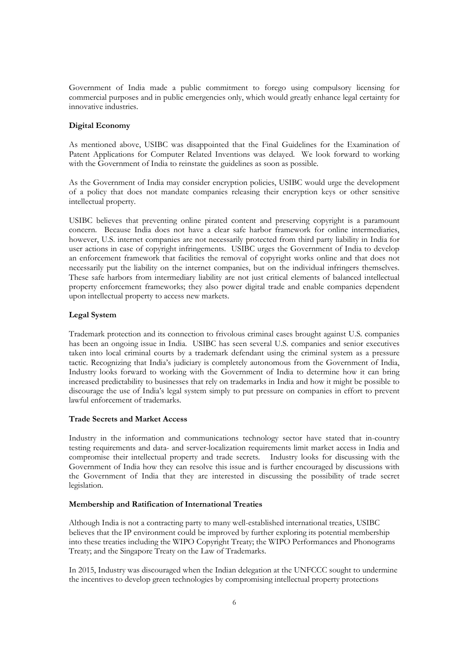Government of India made a public commitment to forego using compulsory licensing for commercial purposes and in public emergencies only, which would greatly enhance legal certainty for innovative industries.

# **Digital Economy**

As mentioned above, USIBC was disappointed that the Final Guidelines for the Examination of Patent Applications for Computer Related Inventions was delayed. We look forward to working with the Government of India to reinstate the guidelines as soon as possible.

As the Government of India may consider encryption policies, USIBC would urge the development of a policy that does not mandate companies releasing their encryption keys or other sensitive intellectual property.

USIBC believes that preventing online pirated content and preserving copyright is a paramount concern. Because India does not have a clear safe harbor framework for online intermediaries, however, U.S. internet companies are not necessarily protected from third party liability in India for user actions in case of copyright infringements. USIBC urges the Government of India to develop an enforcement framework that facilities the removal of copyright works online and that does not necessarily put the liability on the internet companies, but on the individual infringers themselves. These safe harbors from intermediary liability are not just critical elements of balanced intellectual property enforcement frameworks; they also power digital trade and enable companies dependent upon intellectual property to access new markets.

# **Legal System**

Trademark protection and its connection to frivolous criminal cases brought against U.S. companies has been an ongoing issue in India. USIBC has seen several U.S. companies and senior executives taken into local criminal courts by a trademark defendant using the criminal system as a pressure tactic. Recognizing that India's judiciary is completely autonomous from the Government of India, Industry looks forward to working with the Government of India to determine how it can bring increased predictability to businesses that rely on trademarks in India and how it might be possible to discourage the use of India's legal system simply to put pressure on companies in effort to prevent lawful enforcement of trademarks.

# **Trade Secrets and Market Access**

Industry in the information and communications technology sector have stated that in-country testing requirements and data- and server-localization requirements limit market access in India and compromise their intellectual property and trade secrets. Industry looks for discussing with the Government of India how they can resolve this issue and is further encouraged by discussions with the Government of India that they are interested in discussing the possibility of trade secret legislation.

#### **Membership and Ratification of International Treaties**

Although India is not a contracting party to many well-established international treaties, USIBC believes that the IP environment could be improved by further exploring its potential membership into these treaties including the WIPO Copyright Treaty; the WIPO Performances and Phonograms Treaty; and the Singapore Treaty on the Law of Trademarks.

In 2015, Industry was discouraged when the Indian delegation at the UNFCCC sought to undermine the incentives to develop green technologies by compromising intellectual property protections